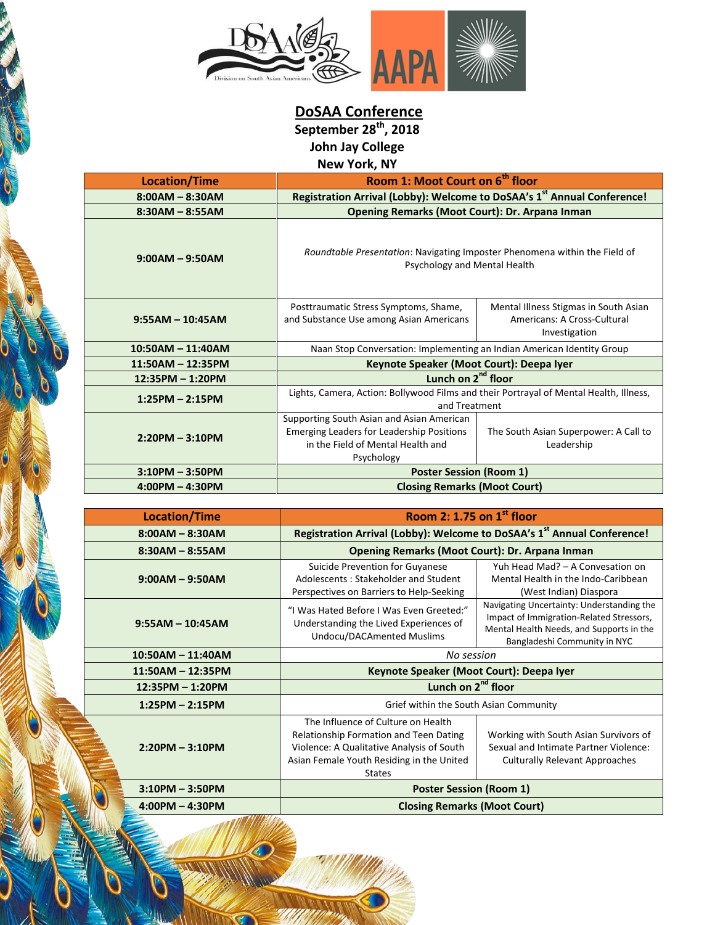

**DoSAA Conference September 28th, 2018**

**John Jay College**

**New York, NY**

| <b>Location/Time</b> | Room 1: Moot Court on 6 <sup>th</sup> floor                                                                                                      |                                                                                       |
|----------------------|--------------------------------------------------------------------------------------------------------------------------------------------------|---------------------------------------------------------------------------------------|
| $8:00AM - 8:30AM$    | Registration Arrival (Lobby): Welcome to DoSAA's 1st Annual Conference!                                                                          |                                                                                       |
| $8:30AM - 8:55AM$    | Opening Remarks (Moot Court): Dr. Arpana Inman                                                                                                   |                                                                                       |
| $9:00AM - 9:50AM$    | Roundtable Presentation: Navigating Imposter Phenomena within the Field of<br>Psychology and Mental Health                                       |                                                                                       |
| $9:55AM - 10:45AM$   | Posttraumatic Stress Symptoms, Shame,<br>and Substance Use among Asian Americans                                                                 | Mental Illness Stigmas in South Asian<br>Americans: A Cross-Cultural<br>Investigation |
| $10:50AM - 11:40AM$  | Naan Stop Conversation: Implementing an Indian American Identity Group                                                                           |                                                                                       |
| 11:50AM - 12:35PM    | Keynote Speaker (Moot Court): Deepa Iyer                                                                                                         |                                                                                       |
| 12:35PM - 1:20PM     | Lunch on 2 <sup>nd</sup> floor                                                                                                                   |                                                                                       |
| $1:25PM - 2:15PM$    | Lights, Camera, Action: Bollywood Films and their Portrayal of Mental Health, Illness,<br>and Treatment                                          |                                                                                       |
| $2:20PM - 3:10PM$    | Supporting South Asian and Asian American<br><b>Emerging Leaders for Leadership Positions</b><br>in the Field of Mental Health and<br>Psychology | The South Asian Superpower: A Call to<br>Leadership                                   |
| $3:10PM - 3:50PM$    | <b>Poster Session (Room 1)</b>                                                                                                                   |                                                                                       |
| $4:00PM - 4:30PM$    | <b>Closing Remarks (Moot Court)</b>                                                                                                              |                                                                                       |

| <b>Location/Time</b> | Room 2: 1.75 on $1st$ floor                                                                                                                                                             |                                                                                                                                                                   |
|----------------------|-----------------------------------------------------------------------------------------------------------------------------------------------------------------------------------------|-------------------------------------------------------------------------------------------------------------------------------------------------------------------|
| $8:00AM - 8:30AM$    | Registration Arrival (Lobby): Welcome to DoSAA's 1 <sup>st</sup> Annual Conference!                                                                                                     |                                                                                                                                                                   |
| $8:30AM - 8:55AM$    | Opening Remarks (Moot Court): Dr. Arpana Inman                                                                                                                                          |                                                                                                                                                                   |
| $9:00AM - 9:50AM$    | Suicide Prevention for Guyanese<br>Adolescents: Stakeholder and Student<br>Perspectives on Barriers to Help-Seeking                                                                     | Yuh Head Mad? - A Convesation on<br>Mental Health in the Indo-Caribbean<br>(West Indian) Diaspora                                                                 |
| $9:55AM - 10:45AM$   | "I Was Hated Before I Was Even Greeted:"<br>Understanding the Lived Experiences of<br><b>Undocu/DACAmented Muslims</b>                                                                  | Navigating Uncertainty: Understanding the<br>Impact of Immigration-Related Stressors,<br>Mental Health Needs, and Supports in the<br>Bangladeshi Community in NYC |
| $10:50AM - 11:40AM$  | No session                                                                                                                                                                              |                                                                                                                                                                   |
| $11:50AM - 12:35PM$  | Keynote Speaker (Moot Court): Deepa Iyer                                                                                                                                                |                                                                                                                                                                   |
| 12:35PM - 1:20PM     | Lunch on 2 <sup>nd</sup> floor                                                                                                                                                          |                                                                                                                                                                   |
| $1:25PM - 2:15PM$    | Grief within the South Asian Community                                                                                                                                                  |                                                                                                                                                                   |
| $2:20PM - 3:10PM$    | The Influence of Culture on Health<br>Relationship Formation and Teen Dating<br>Violence: A Qualitative Analysis of South<br>Asian Female Youth Residing in the United<br><b>States</b> | Working with South Asian Survivors of<br>Sexual and Intimate Partner Violence:<br><b>Culturally Relevant Approaches</b>                                           |
| $3:10PM - 3:50PM$    | <b>Poster Session (Room 1)</b>                                                                                                                                                          |                                                                                                                                                                   |
| $4:00PM - 4:30PM$    | <b>Closing Remarks (Moot Court)</b>                                                                                                                                                     |                                                                                                                                                                   |

**KG**